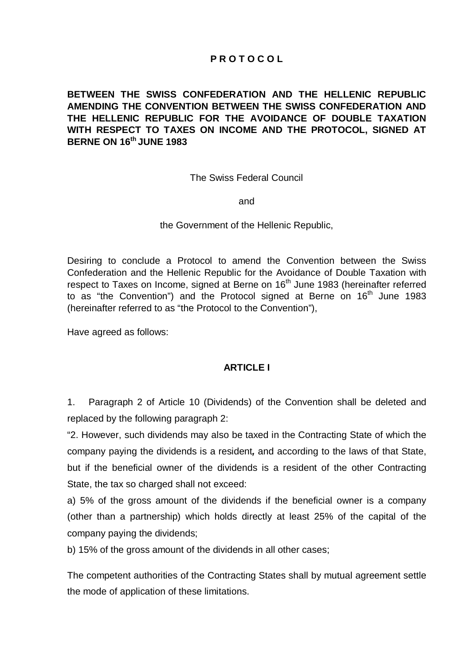# **P R O T O C O L**

**BETWEEN THE SWISS CONFEDERATION AND THE HELLENIC REPUBLIC AMENDING THE CONVENTION BETWEEN THE SWISS CONFEDERATION AND THE HELLENIC REPUBLIC FOR THE AVOIDANCE OF DOUBLE TAXATION WITH RESPECT TO TAXES ON INCOME AND THE PROTOCOL, SIGNED AT BERNE ON 16th JUNE 1983** 

The Swiss Federal Council

and

the Government of the Hellenic Republic,

Desiring to conclude a Protocol to amend the Convention between the Swiss Confederation and the Hellenic Republic for the Avoidance of Double Taxation with respect to Taxes on Income, signed at Berne on 16<sup>th</sup> June 1983 (hereinafter referred to as "the Convention") and the Protocol signed at Berne on  $16<sup>th</sup>$  June 1983 (hereinafter referred to as "the Protocol to the Convention"),

Have agreed as follows:

#### **ARTICLE I**

1. Paragraph 2 of Article 10 (Dividends) of the Convention shall be deleted and replaced by the following paragraph 2:

"2. However, such dividends may also be taxed in the Contracting State of which the company paying the dividends is a resident*,* and according to the laws of that State, but if the beneficial owner of the dividends is a resident of the other Contracting State, the tax so charged shall not exceed:

a) 5% of the gross amount of the dividends if the beneficial owner is a company (other than a partnership) which holds directly at least 25% of the capital of the company paying the dividends;

b) 15% of the gross amount of the dividends in all other cases;

The competent authorities of the Contracting States shall by mutual agreement settle the mode of application of these limitations.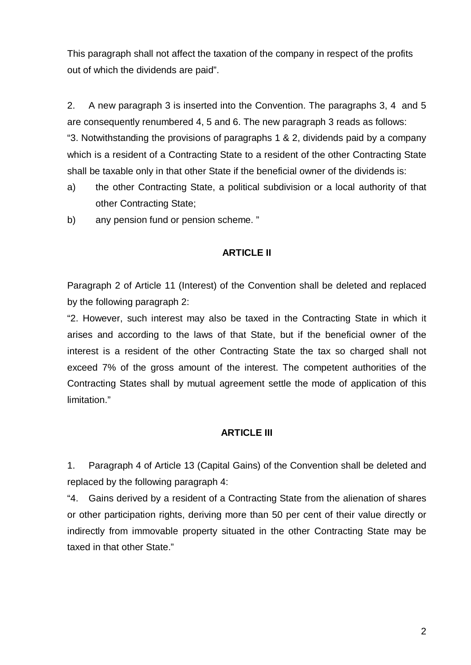This paragraph shall not affect the taxation of the company in respect of the profits out of which the dividends are paid".

2. A new paragraph 3 is inserted into the Convention. The paragraphs 3, 4 and 5 are consequently renumbered 4, 5 and 6. The new paragraph 3 reads as follows: "3. Notwithstanding the provisions of paragraphs 1 & 2, dividends paid by a company which is a resident of a Contracting State to a resident of the other Contracting State shall be taxable only in that other State if the beneficial owner of the dividends is:

- a) the other Contracting State, a political subdivision or a local authority of that other Contracting State;
- b) any pension fund or pension scheme. "

### **ARTICLE II**

Paragraph 2 of Article 11 (Interest) of the Convention shall be deleted and replaced by the following paragraph 2:

"2. However, such interest may also be taxed in the Contracting State in which it arises and according to the laws of that State, but if the beneficial owner of the interest is a resident of the other Contracting State the tax so charged shall not exceed 7% of the gross amount of the interest. The competent authorities of the Contracting States shall by mutual agreement settle the mode of application of this limitation."

## **ARTICLE III**

1. Paragraph 4 of Article 13 (Capital Gains) of the Convention shall be deleted and replaced by the following paragraph 4:

"4. Gains derived by a resident of a Contracting State from the alienation of shares or other participation rights, deriving more than 50 per cent of their value directly or indirectly from immovable property situated in the other Contracting State may be taxed in that other State."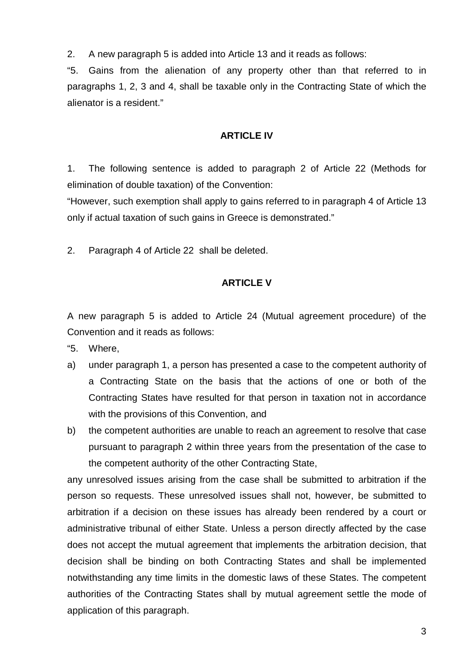2. A new paragraph 5 is added into Article 13 and it reads as follows:

"5. Gains from the alienation of any property other than that referred to in paragraphs 1, 2, 3 and 4, shall be taxable only in the Contracting State of which the alienator is a resident."

#### **ARTICLE IV**

1. The following sentence is added to paragraph 2 of Article 22 (Methods for elimination of double taxation) of the Convention:

"However, such exemption shall apply to gains referred to in paragraph 4 of Article 13 only if actual taxation of such gains in Greece is demonstrated."

2. Paragraph 4 of Article 22 shall be deleted.

# **ARTICLE V**

A new paragraph 5 is added to Article 24 (Mutual agreement procedure) of the Convention and it reads as follows:

"5. Where,

- a) under paragraph 1, a person has presented a case to the competent authority of a Contracting State on the basis that the actions of one or both of the Contracting States have resulted for that person in taxation not in accordance with the provisions of this Convention, and
- b) the competent authorities are unable to reach an agreement to resolve that case pursuant to paragraph 2 within three years from the presentation of the case to the competent authority of the other Contracting State,

any unresolved issues arising from the case shall be submitted to arbitration if the person so requests. These unresolved issues shall not, however, be submitted to arbitration if a decision on these issues has already been rendered by a court or administrative tribunal of either State. Unless a person directly affected by the case does not accept the mutual agreement that implements the arbitration decision, that decision shall be binding on both Contracting States and shall be implemented notwithstanding any time limits in the domestic laws of these States. The competent authorities of the Contracting States shall by mutual agreement settle the mode of application of this paragraph.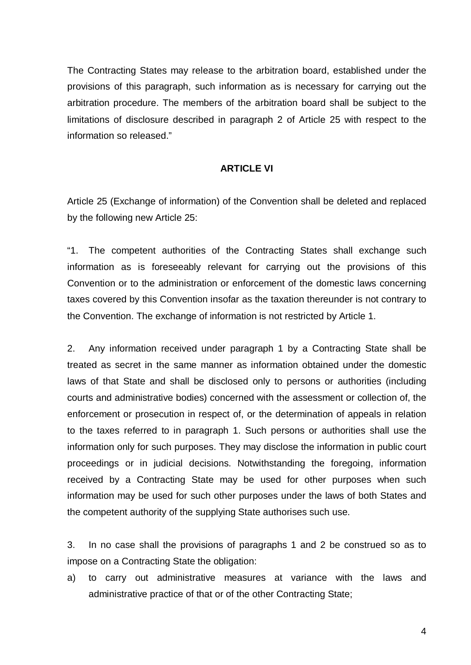The Contracting States may release to the arbitration board, established under the provisions of this paragraph, such information as is necessary for carrying out the arbitration procedure. The members of the arbitration board shall be subject to the limitations of disclosure described in paragraph 2 of Article 25 with respect to the information so released."

### **ARTICLE VI**

Article 25 (Exchange of information) of the Convention shall be deleted and replaced by the following new Article 25:

"1. The competent authorities of the Contracting States shall exchange such information as is foreseeably relevant for carrying out the provisions of this Convention or to the administration or enforcement of the domestic laws concerning taxes covered by this Convention insofar as the taxation thereunder is not contrary to the Convention. The exchange of information is not restricted by Article 1.

2. Any information received under paragraph 1 by a Contracting State shall be treated as secret in the same manner as information obtained under the domestic laws of that State and shall be disclosed only to persons or authorities (including courts and administrative bodies) concerned with the assessment or collection of, the enforcement or prosecution in respect of, or the determination of appeals in relation to the taxes referred to in paragraph 1. Such persons or authorities shall use the information only for such purposes. They may disclose the information in public court proceedings or in judicial decisions. Notwithstanding the foregoing, information received by a Contracting State may be used for other purposes when such information may be used for such other purposes under the laws of both States and the competent authority of the supplying State authorises such use.

3. In no case shall the provisions of paragraphs 1 and 2 be construed so as to impose on a Contracting State the obligation:

a) to carry out administrative measures at variance with the laws and administrative practice of that or of the other Contracting State;

4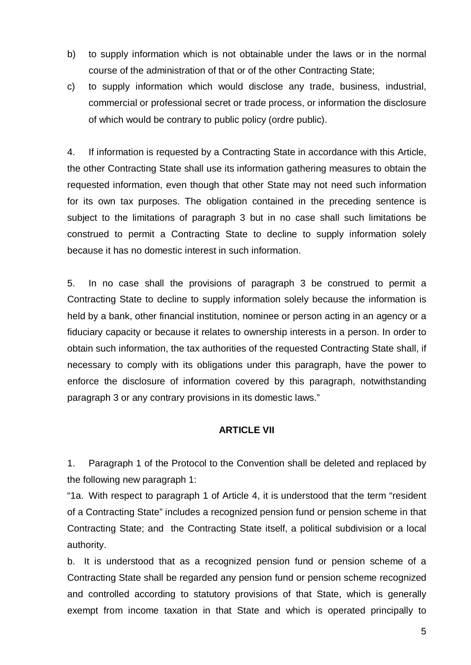- b) to supply information which is not obtainable under the laws or in the normal course of the administration of that or of the other Contracting State;
- c) to supply information which would disclose any trade, business, industrial, commercial or professional secret or trade process, or information the disclosure of which would be contrary to public policy (ordre public).

4. If information is requested by a Contracting State in accordance with this Article, the other Contracting State shall use its information gathering measures to obtain the requested information, even though that other State may not need such information for its own tax purposes. The obligation contained in the preceding sentence is subject to the limitations of paragraph 3 but in no case shall such limitations be construed to permit a Contracting State to decline to supply information solely because it has no domestic interest in such information.

5. In no case shall the provisions of paragraph 3 be construed to permit a Contracting State to decline to supply information solely because the information is held by a bank, other financial institution, nominee or person acting in an agency or a fiduciary capacity or because it relates to ownership interests in a person. In order to obtain such information, the tax authorities of the requested Contracting State shall, if necessary to comply with its obligations under this paragraph, have the power to enforce the disclosure of information covered by this paragraph, notwithstanding paragraph 3 or any contrary provisions in its domestic laws."

## **ARTICLE VII**

1. Paragraph 1 of the Protocol to the Convention shall be deleted and replaced by the following new paragraph 1:

"1a. With respect to paragraph 1 of Article 4, it is understood that the term "resident of a Contracting State" includes a recognized pension fund or pension scheme in that Contracting State; and the Contracting State itself, a political subdivision or a local authority.

b. It is understood that as a recognized pension fund or pension scheme of a Contracting State shall be regarded any pension fund or pension scheme recognized and controlled according to statutory provisions of that State, which is generally exempt from income taxation in that State and which is operated principally to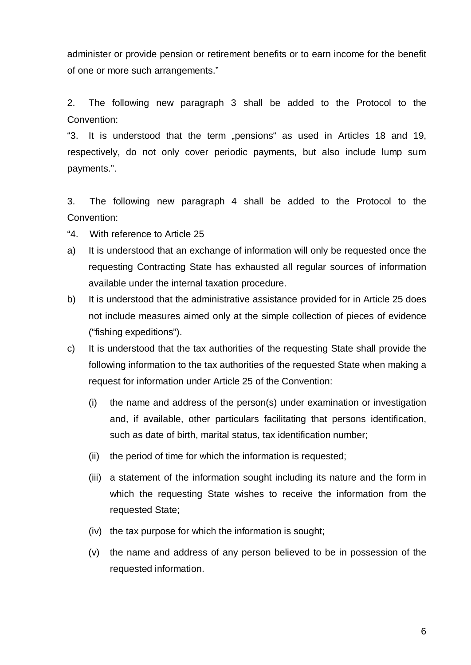administer or provide pension or retirement benefits or to earn income for the benefit of one or more such arrangements."

2. The following new paragraph 3 shall be added to the Protocol to the Convention:

"3. It is understood that the term "pensions" as used in Articles 18 and 19, respectively, do not only cover periodic payments, but also include lump sum payments.".

3. The following new paragraph 4 shall be added to the Protocol to the Convention:

- "4. With reference to Article 25
- a) It is understood that an exchange of information will only be requested once the requesting Contracting State has exhausted all regular sources of information available under the internal taxation procedure.
- b) It is understood that the administrative assistance provided for in Article 25 does not include measures aimed only at the simple collection of pieces of evidence ("fishing expeditions").
- c) It is understood that the tax authorities of the requesting State shall provide the following information to the tax authorities of the requested State when making a request for information under Article 25 of the Convention:
	- (i) the name and address of the person(s) under examination or investigation and, if available, other particulars facilitating that persons identification, such as date of birth, marital status, tax identification number;
	- (ii) the period of time for which the information is requested;
	- (iii) a statement of the information sought including its nature and the form in which the requesting State wishes to receive the information from the requested State;
	- (iv) the tax purpose for which the information is sought;
	- (v) the name and address of any person believed to be in possession of the requested information.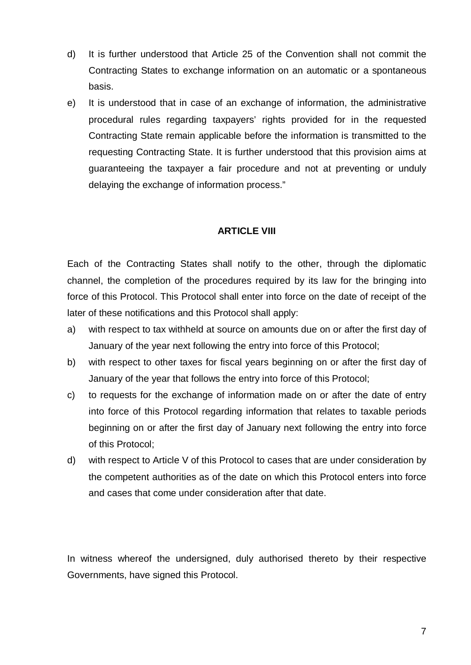- d) It is further understood that Article 25 of the Convention shall not commit the Contracting States to exchange information on an automatic or a spontaneous basis.
- e) It is understood that in case of an exchange of information, the administrative procedural rules regarding taxpayers' rights provided for in the requested Contracting State remain applicable before the information is transmitted to the requesting Contracting State. It is further understood that this provision aims at guaranteeing the taxpayer a fair procedure and not at preventing or unduly delaying the exchange of information process."

## **ARTICLE VIII**

Each of the Contracting States shall notify to the other, through the diplomatic channel, the completion of the procedures required by its law for the bringing into force of this Protocol. This Protocol shall enter into force on the date of receipt of the later of these notifications and this Protocol shall apply:

- a) with respect to tax withheld at source on amounts due on or after the first day of January of the year next following the entry into force of this Protocol;
- b) with respect to other taxes for fiscal years beginning on or after the first day of January of the year that follows the entry into force of this Protocol;
- c) to requests for the exchange of information made on or after the date of entry into force of this Protocol regarding information that relates to taxable periods beginning on or after the first day of January next following the entry into force of this Protocol;
- d) with respect to Article V of this Protocol to cases that are under consideration by the competent authorities as of the date on which this Protocol enters into force and cases that come under consideration after that date.

In witness whereof the undersigned, duly authorised thereto by their respective Governments, have signed this Protocol.